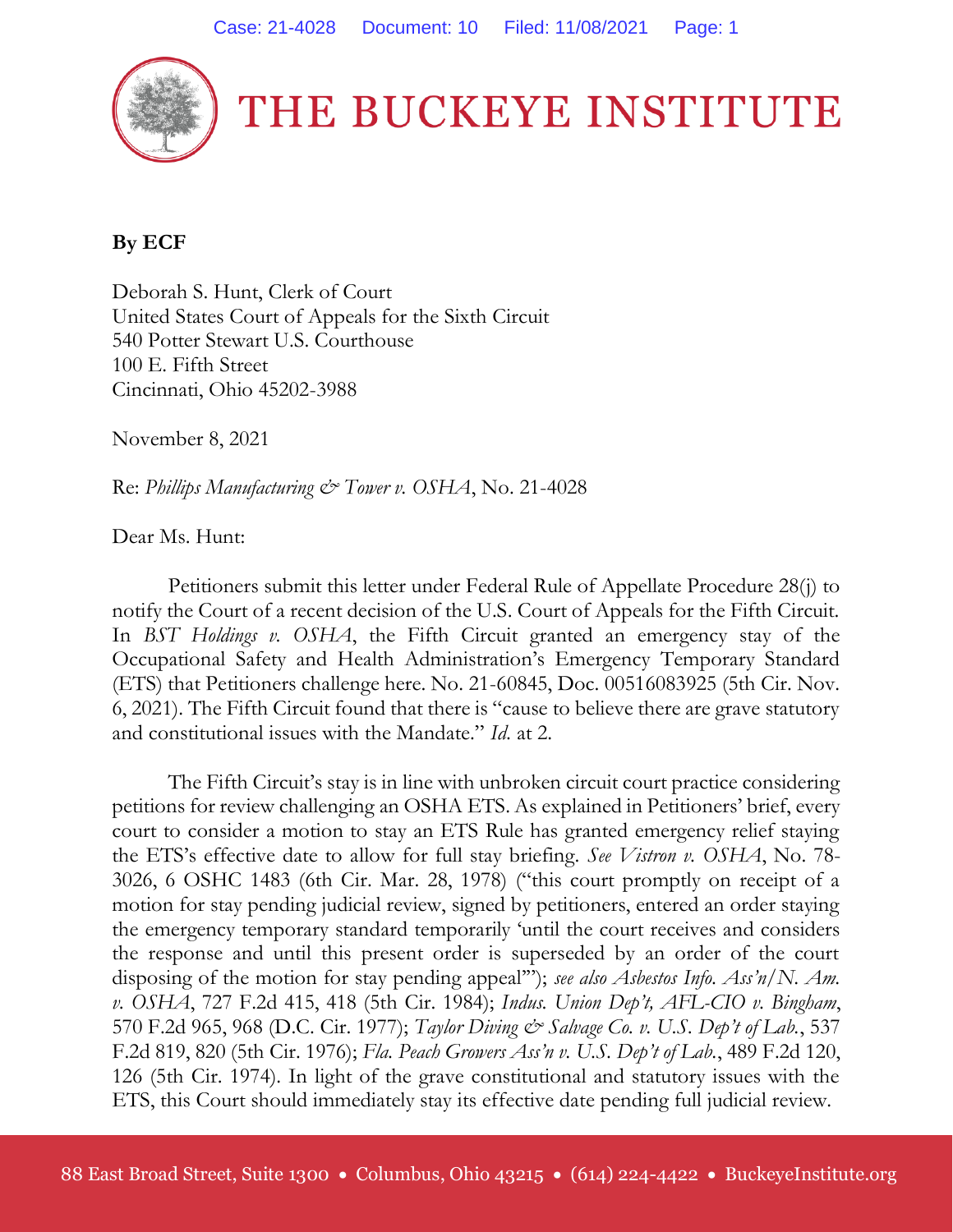

THE BUCKEYE INSTITUTE

## **By ECF**

Deborah S. Hunt, Clerk of Court United States Court of Appeals for the Sixth Circuit 540 Potter Stewart U.S. Courthouse 100 E. Fifth Street Cincinnati, Ohio 45202-3988

November 8, 2021

Re: *Phillips Manufacturing & Tower v. OSHA*, No. 21-4028

Dear Ms. Hunt:

Petitioners submit this letter under Federal Rule of Appellate Procedure 28(j) to notify the Court of a recent decision of the U.S. Court of Appeals for the Fifth Circuit. In *BST Holdings v. OSHA*, the Fifth Circuit granted an emergency stay of the Occupational Safety and Health Administration's Emergency Temporary Standard (ETS) that Petitioners challenge here. No. 21-60845, Doc. 00516083925 (5th Cir. Nov. 6, 2021). The Fifth Circuit found that there is "cause to believe there are grave statutory and constitutional issues with the Mandate." *Id.* at 2.

The Fifth Circuit's stay is in line with unbroken circuit court practice considering petitions for review challenging an OSHA ETS. As explained in Petitioners' brief, every court to consider a motion to stay an ETS Rule has granted emergency relief staying the ETS's effective date to allow for full stay briefing. *See Vistron v. OSHA*, No. 78- 3026, 6 OSHC 1483 (6th Cir. Mar. 28, 1978) ("this court promptly on receipt of a motion for stay pending judicial review, signed by petitioners, entered an order staying the emergency temporary standard temporarily 'until the court receives and considers the response and until this present order is superseded by an order of the court disposing of the motion for stay pending appeal'"); *see also Asbestos Info. Ass'n/N. Am. v. OSHA*, 727 F.2d 415, 418 (5th Cir. 1984); *Indus. Union Dep't, AFL-CIO v. Bingham*, 570 F.2d 965, 968 (D.C. Cir. 1977); *Taylor Diving & Salvage Co. v. U.S. Dep't of Lab.*, 537 F.2d 819, 820 (5th Cir. 1976); *Fla. Peach Growers Ass'n v. U.S. Dep't of Lab.*, 489 F.2d 120, 126 (5th Cir. 1974). In light of the grave constitutional and statutory issues with the ETS, this Court should immediately stay its effective date pending full judicial review.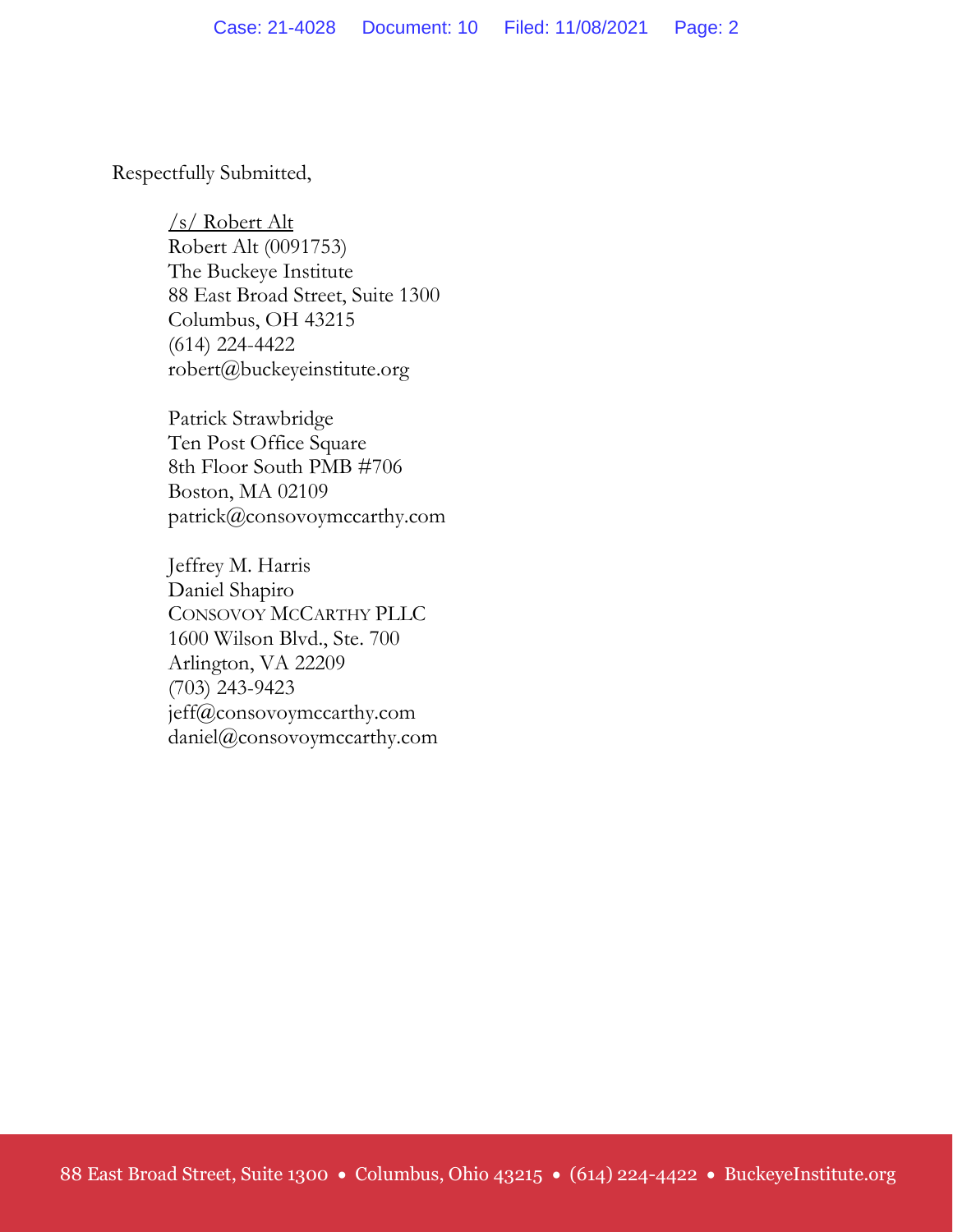Respectfully Submitted,

/s/ Robert Alt Robert Alt (0091753) The Buckeye Institute 88 East Broad Street, Suite 1300 Columbus, OH 43215 (614) 224-4422 robert@buckeyeinstitute.org

Patrick Strawbridge Ten Post Office Square 8th Floor South PMB #706 Boston, MA 02109 patrick@consovoymccarthy.com

Jeffrey M. Harris Daniel Shapiro CONSOVOY MCCARTHY PLLC 1600 Wilson Blvd., Ste. 700 Arlington, VA 22209 (703) 243-9423 jeff@consovoymccarthy.com daniel@consovoymccarthy.com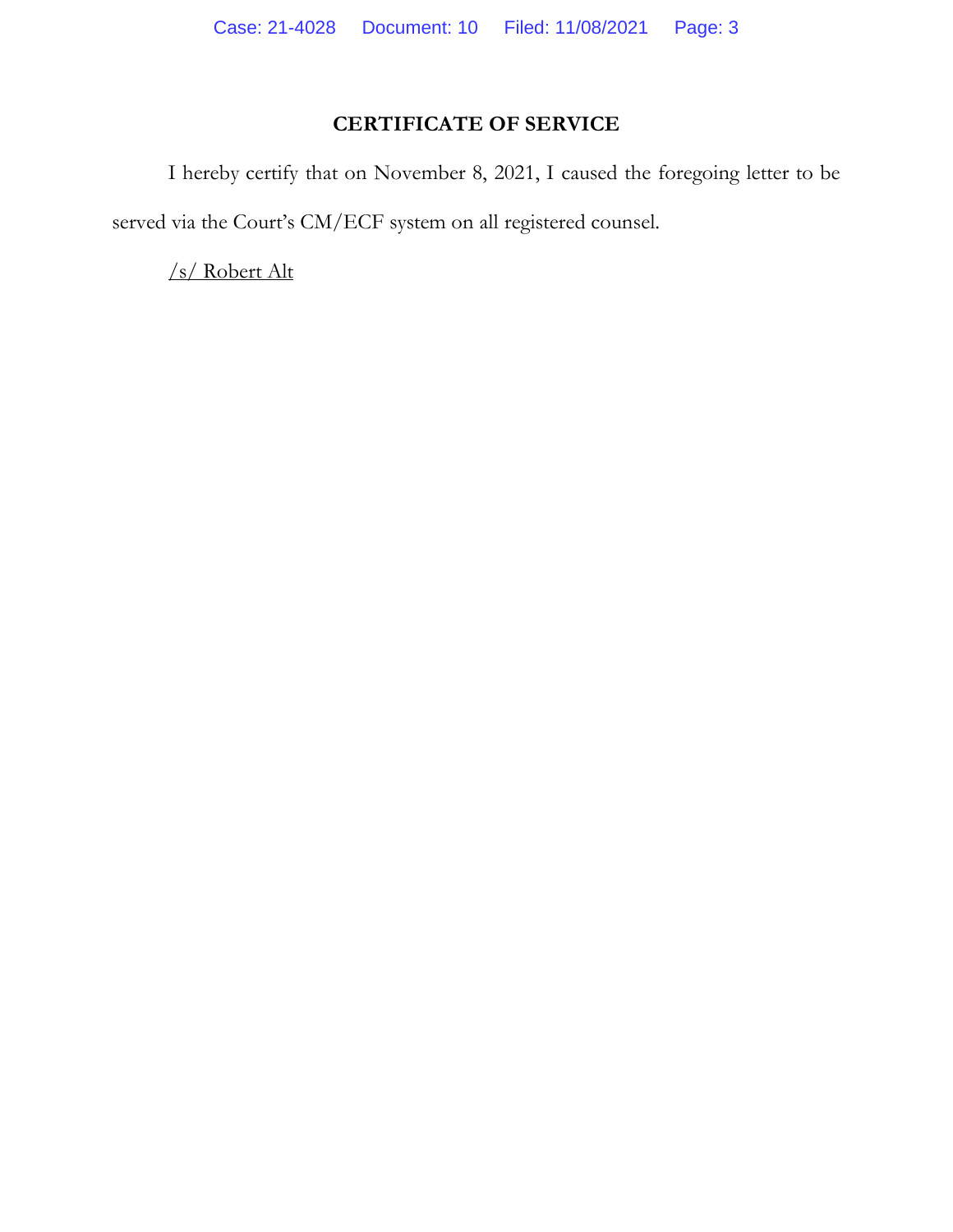## **CERTIFICATE OF SERVICE**

I hereby certify that on November 8, 2021, I caused the foregoing letter to be served via the Court's CM/ECF system on all registered counsel.

/s/ Robert Alt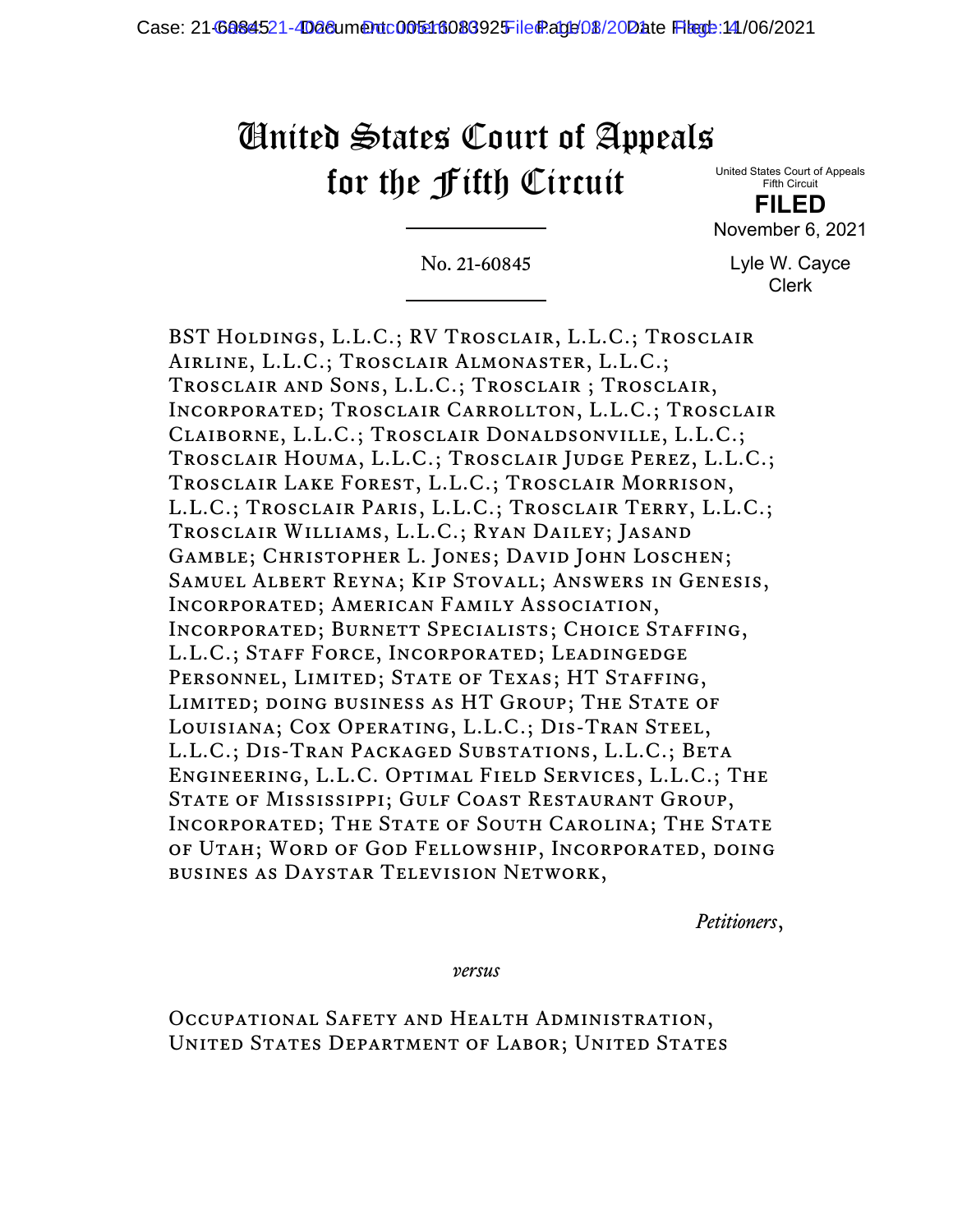## United States Court of Appeals for the Fifth Circuit

United States Court of Appeals Fifth Circuit

**FILED** November 6, 2021

No. 21-60845

Lyle W. Cayce Clerk

BST Holdings, L.L.C.; RV Trosclair, L.L.C.; Trosclair Airline, L.L.C.; Trosclair Almonaster, L.L.C.; Trosclair and Sons, L.L.C.; Trosclair ; Trosclair, Incorporated; Trosclair Carrollton, L.L.C.; Trosclair Claiborne, L.L.C.; Trosclair Donaldsonville, L.L.C.; Trosclair Houma, L.L.C.; Trosclair Judge Perez, L.L.C.; Trosclair Lake Forest, L.L.C.; Trosclair Morrison, L.L.C.; Trosclair Paris, L.L.C.; Trosclair Terry, L.L.C.; Trosclair Williams, L.L.C.; Ryan Dailey; Jasand Gamble; Christopher L. Jones; David John Loschen; Samuel Albert Reyna; Kip Stovall; Answers in Genesis, Incorporated; American Family Association, Incorporated; Burnett Specialists; Choice Staffing, L.L.C.; Staff Force, Incorporated; Leadingedge PERSONNEL, LIMITED; STATE OF TEXAS; HT STAFFING, LIMITED; DOING BUSINESS AS HT GROUP; THE STATE OF Louisiana; Cox Operating, L.L.C.; Dis-Tran Steel, L.L.C.; Dis-Tran Packaged Substations, L.L.C.; Beta Engineering, L.L.C. Optimal Field Services, L.L.C.; The STATE OF MISSISSIPPI; GULF COAST RESTAURANT GROUP, INCORPORATED; THE STATE OF SOUTH CAROLINA; THE STATE of Utah; Word of God Fellowship, Incorporated, doing busines as Daystar Television Network,

*Petitioners*,

*versus*

Occupational Safety and Health Administration, United States Department of Labor; United States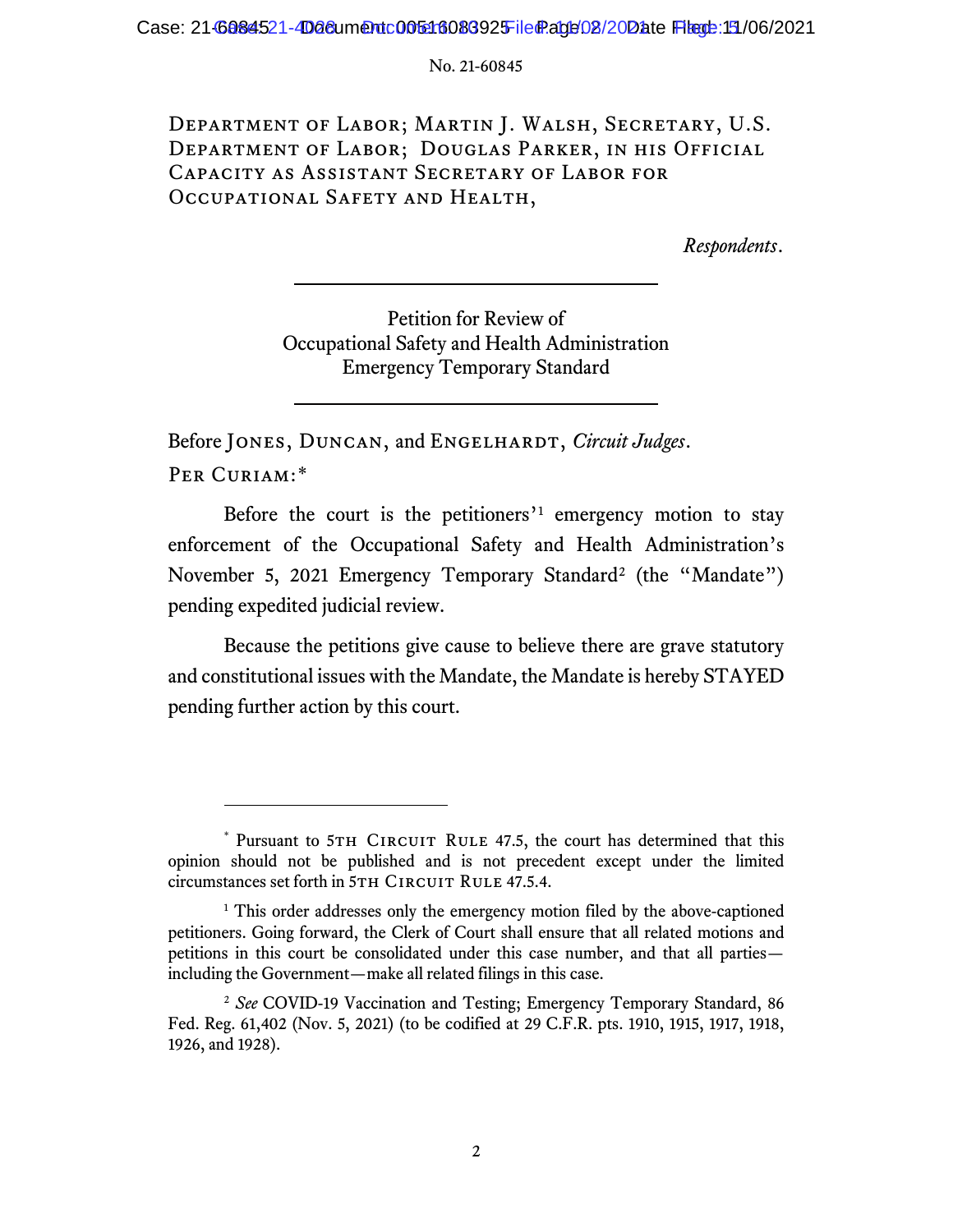No. 21-60845

Department of Labor; Martin J. Walsh, Secretary, U.S. Department of Labor; Douglas Parker, in his Official Capacity as Assistant Secretary of Labor for Occupational Safety and Health,

*Respondents*.

Petition for Review of Occupational Safety and Health Administration Emergency Temporary Standard

Before JONES, DUNCAN, and ENGELHARDT, *Circuit Judges*. PER CURIAM:[\\*](#page-4-0)

Before the court is the petitioners'<sup>[1](#page-4-1)</sup> emergency motion to stay enforcement of the Occupational Safety and Health Administration's November 5, [2](#page-4-2)021 Emergency Temporary Standard<sup>2</sup> (the "Mandate") pending expedited judicial review.

Because the petitions give cause to believe there are grave statutory and constitutional issues with the Mandate, the Mandate is hereby STAYED pending further action by this court.

<span id="page-4-0"></span><sup>\*</sup> Pursuant to 5TH CIRCUIT RULE 47.5, the court has determined that this opinion should not be published and is not precedent except under the limited circumstances set forth in 5TH CIRCUIT RULE 47.5.4.

<span id="page-4-1"></span><sup>&</sup>lt;sup>1</sup> This order addresses only the emergency motion filed by the above-captioned petitioners. Going forward, the Clerk of Court shall ensure that all related motions and petitions in this court be consolidated under this case number, and that all parties including the Government—make all related filings in this case.

<span id="page-4-2"></span><sup>2</sup> *See* COVID-19 Vaccination and Testing; Emergency Temporary Standard, 86 Fed. Reg. 61,402 (Nov. 5, 2021) (to be codified at 29 C.F.R. pts. 1910, 1915, 1917, 1918, 1926, and 1928).